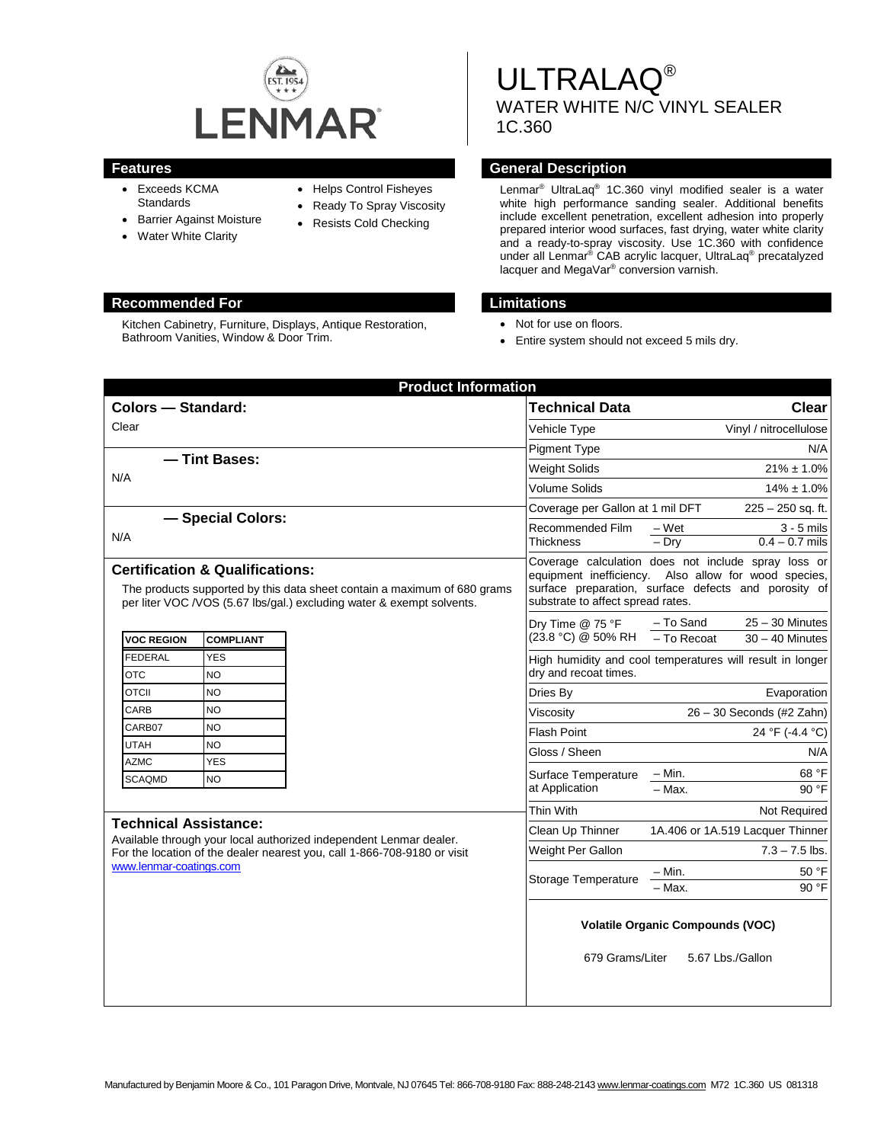

- Exceeds KCMA **Standards**
- Barrier Against Moisture
- Water White Clarity
- Helps Control Fisheyes
- Ready To Spray Viscosity
- Resists Cold Checking

#### **Recommended For Limitations**

Kitchen Cabinetry, Furniture, Displays, Antique Restoration, Bathroom Vanities, Window & Door Trim.

# ULTRALAQ® WATER WHITE N/C VINYL SEALER 1C.360

### **Features General Description**

Lenmar® UltraLaq® 1C.360 vinyl modified sealer is a water white high performance sanding sealer. Additional benefits include excellent penetration, excellent adhesion into properly prepared interior wood surfaces, fast drying, water white clarity and a ready-to-spray viscosity. Use 1C.360 with confidence under all Lenmar<sup>®</sup> CAB acrylic lacquer, UltraLaq<sup>®</sup> precatalyzed lacquer and MegaVar® conversion varnish.

- Not for use on floors.
- Entire system should not exceed 5 mils dry.

| <b>Product Information</b>                                                                                                                                                                                |                         |                                                                                    |                                                                                                                                                                                                          |                             |                                        |  |
|-----------------------------------------------------------------------------------------------------------------------------------------------------------------------------------------------------------|-------------------------|------------------------------------------------------------------------------------|----------------------------------------------------------------------------------------------------------------------------------------------------------------------------------------------------------|-----------------------------|----------------------------------------|--|
| <b>Colors - Standard:</b>                                                                                                                                                                                 |                         |                                                                                    | <b>Technical Data</b>                                                                                                                                                                                    | <b>Clear</b>                |                                        |  |
| Clear                                                                                                                                                                                                     |                         |                                                                                    | Vehicle Type                                                                                                                                                                                             | Vinyl / nitrocellulose      |                                        |  |
|                                                                                                                                                                                                           |                         |                                                                                    | <b>Pigment Type</b>                                                                                                                                                                                      |                             | N/A                                    |  |
| - Tint Bases:<br>N/A                                                                                                                                                                                      |                         |                                                                                    | <b>Weight Solids</b>                                                                                                                                                                                     |                             | $21\% \pm 1.0\%$                       |  |
|                                                                                                                                                                                                           |                         |                                                                                    | <b>Volume Solids</b>                                                                                                                                                                                     |                             | $14\% \pm 1.0\%$                       |  |
|                                                                                                                                                                                                           |                         |                                                                                    | Coverage per Gallon at 1 mil DFT                                                                                                                                                                         | $225 - 250$ sq. ft.         |                                        |  |
| - Special Colors:<br>N/A                                                                                                                                                                                  |                         |                                                                                    | Recommended Film<br>Thickness                                                                                                                                                                            | – Wet<br>$-$ Dry            | $3 - 5$ mils<br>$0.4 - 0.7$ mils       |  |
| <b>Certification &amp; Qualifications:</b><br>The products supported by this data sheet contain a maximum of 680 grams<br>per liter VOC /VOS (5.67 lbs/gal.) excluding water & exempt solvents.           |                         |                                                                                    | Coverage calculation does not include spray loss or<br>equipment inefficiency. Also allow for wood species,<br>surface preparation, surface defects and porosity of<br>substrate to affect spread rates. |                             |                                        |  |
| <b>VOC REGION</b>                                                                                                                                                                                         | <b>COMPLIANT</b>        |                                                                                    | Dry Time @ 75 °F<br>(23.8 °C) @ 50% RH                                                                                                                                                                   | - To Sand<br>$-$ To Recoat  | $25 - 30$ Minutes<br>$30 - 40$ Minutes |  |
| <b>FEDERAL</b><br><b>OTC</b>                                                                                                                                                                              | <b>YES</b><br><b>NO</b> | High humidity and cool temperatures will result in longer<br>dry and recoat times. |                                                                                                                                                                                                          |                             |                                        |  |
| <b>OTCII</b>                                                                                                                                                                                              | <b>NO</b>               |                                                                                    | Dries By                                                                                                                                                                                                 |                             | Evaporation                            |  |
| CARB                                                                                                                                                                                                      | <b>NO</b>               |                                                                                    | Viscosity                                                                                                                                                                                                | $26 - 30$ Seconds (#2 Zahn) |                                        |  |
| CARB07                                                                                                                                                                                                    | <b>NO</b>               |                                                                                    | <b>Flash Point</b>                                                                                                                                                                                       |                             | 24 °F (-4.4 °C)                        |  |
| <b>UTAH</b>                                                                                                                                                                                               | NO                      |                                                                                    | Gloss / Sheen                                                                                                                                                                                            |                             | N/A                                    |  |
| <b>AZMC</b>                                                                                                                                                                                               | <b>YES</b>              |                                                                                    | Surface Temperature                                                                                                                                                                                      | – Min.                      | 68 °F                                  |  |
| <b>SCAQMD</b>                                                                                                                                                                                             | <b>NO</b>               |                                                                                    | at Application                                                                                                                                                                                           | - Max.                      | 90 °F                                  |  |
|                                                                                                                                                                                                           |                         |                                                                                    | Thin With                                                                                                                                                                                                |                             | Not Required                           |  |
| <b>Technical Assistance:</b><br>Available through your local authorized independent Lenmar dealer.<br>For the location of the dealer nearest you, call 1-866-708-9180 or visit<br>www.lenmar-coatings.com |                         |                                                                                    | Clean Up Thinner                                                                                                                                                                                         |                             | 1A.406 or 1A.519 Lacquer Thinner       |  |
|                                                                                                                                                                                                           |                         |                                                                                    | Weight Per Gallon                                                                                                                                                                                        |                             | $7.3 - 7.5$ lbs.                       |  |
|                                                                                                                                                                                                           |                         |                                                                                    |                                                                                                                                                                                                          | – Min.                      | 50 °F                                  |  |
|                                                                                                                                                                                                           |                         |                                                                                    | Storage Temperature                                                                                                                                                                                      | - Max.                      | 90 °F                                  |  |
|                                                                                                                                                                                                           |                         |                                                                                    | <b>Volatile Organic Compounds (VOC)</b><br>679 Grams/Liter<br>5.67 Lbs./Gallon                                                                                                                           |                             |                                        |  |
|                                                                                                                                                                                                           |                         |                                                                                    |                                                                                                                                                                                                          |                             |                                        |  |